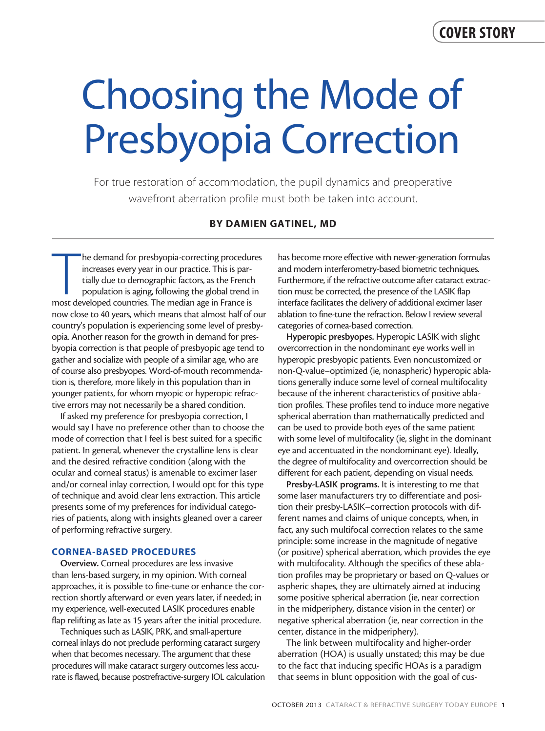# Choosing the Mode of Presbyopia Correction

For true restoration of accommodation, the pupil dynamics and preoperative wavefront aberration profile must both be taken into account.

# BY DAMIEN GATINEL, MD

The demand for presbyopia-correcting procedur increases every year in our practice. This is partially due to demographic factors, as the French population is aging, following the global trend in most developed countries. T he demand for presbyopia-correcting procedures increases every year in our practice. This is partially due to demographic factors, as the French population is aging, following the global trend in now close to 40 years, which means that almost half of our country's population is experiencing some level of presbyopia. Another reason for the growth in demand for presbyopia correction is that people of presbyopic age tend to gather and socialize with people of a similar age, who are of course also presbyopes. Word-of-mouth recommendation is, therefore, more likely in this population than in younger patients, for whom myopic or hyperopic refractive errors may not necessarily be a shared condition.

If asked my preference for presbyopia correction, I would say I have no preference other than to choose the mode of correction that I feel is best suited for a specific patient. In general, whenever the crystalline lens is clear and the desired refractive condition (along with the ocular and corneal status) is amenable to excimer laser and/or corneal inlay correction, I would opt for this type of technique and avoid clear lens extraction. This article presents some of my preferences for individual categories of patients, along with insights gleaned over a career of performing refractive surgery.

## CORNEA-BASED PROCEDURES

Overview. Corneal procedures are less invasive than lens-based surgery, in my opinion. With corneal approaches, it is possible to fine-tune or enhance the correction shortly afterward or even years later, if needed; in my experience, well-executed LASIK procedures enable flap relifting as late as 15 years after the initial procedure.

Techniques such as LASIK, PRK, and small-aperture corneal inlays do not preclude performing cataract surgery when that becomes necessary. The argument that these procedures will make cataract surgery outcomes less accurate is flawed, because postrefractive-surgery IOL calculation

has become more effective with newer-generation formulas and modern interferometry-based biometric techniques. Furthermore, if the refractive outcome after cataract extraction must be corrected, the presence of the LASIK flap interface facilitates the delivery of additional excimer laser ablation to fine-tune the refraction. Below I review several categories of cornea-based correction.

Hyperopic presbyopes. Hyperopic LASIK with slight overcorrection in the nondominant eye works well in hyperopic presbyopic patients. Even noncustomized or non-Q-value–optimized (ie, nonaspheric) hyperopic ablations generally induce some level of corneal multifocality because of the inherent characteristics of positive ablation profiles. These profiles tend to induce more negative spherical aberration than mathematically predicted and can be used to provide both eyes of the same patient with some level of multifocality (ie, slight in the dominant eye and accentuated in the nondominant eye). Ideally, the degree of multifocality and overcorrection should be different for each patient, depending on visual needs.

Presby-LASIK programs. It is interesting to me that some laser manufacturers try to differentiate and position their presby-LASIK–correction protocols with different names and claims of unique concepts, when, in fact, any such multifocal correction relates to the same principle: some increase in the magnitude of negative (or positive) spherical aberration, which provides the eye with multifocality. Although the specifics of these ablation profiles may be proprietary or based on Q-values or aspheric shapes, they are ultimately aimed at inducing some positive spherical aberration (ie, near correction in the midperiphery, distance vision in the center) or negative spherical aberration (ie, near correction in the center, distance in the midperiphery).

The link between multifocality and higher-order aberration (HOA) is usually unstated; this may be due to the fact that inducing specific HOAs is a paradigm that seems in blunt opposition with the goal of cus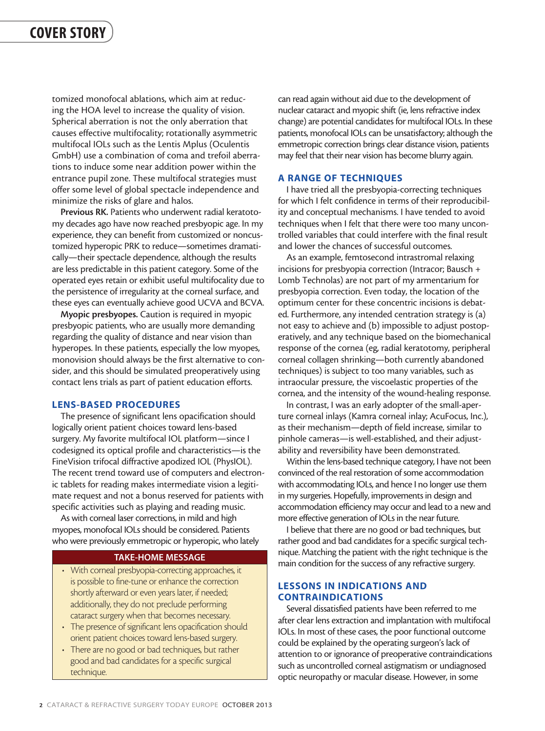tomized monofocal ablations, which aim at reducing the HOA level to increase the quality of vision. Spherical aberration is not the only aberration that causes effective multifocality; rotationally asymmetric multifocal IOLs such as the Lentis Mplus (Oculentis GmbH) use a combination of coma and trefoil aberrations to induce some near addition power within the entrance pupil zone. These multifocal strategies must offer some level of global spectacle independence and minimize the risks of glare and halos.

Previous RK. Patients who underwent radial keratotomy decades ago have now reached presbyopic age. In my experience, they can benefit from customized or noncustomized hyperopic PRK to reduce—sometimes dramatically—their spectacle dependence, although the results are less predictable in this patient category. Some of the operated eyes retain or exhibit useful multifocality due to the persistence of irregularity at the corneal surface, and these eyes can eventually achieve good UCVA and BCVA.

Myopic presbyopes. Caution is required in myopic presbyopic patients, who are usually more demanding regarding the quality of distance and near vision than hyperopes. In these patients, especially the low myopes, monovision should always be the first alternative to consider, and this should be simulated preoperatively using contact lens trials as part of patient education efforts.

## LENS-BASED PROCEDURES

The presence of significant lens opacification should logically orient patient choices toward lens-based surgery. My favorite multifocal IOL platform—since I codesigned its optical profile and characteristics—is the FineVision trifocal diffractive apodized IOL (PhysIOL). The recent trend toward use of computers and electronic tablets for reading makes intermediate vision a legitimate request and not a bonus reserved for patients with specific activities such as playing and reading music.

As with corneal laser corrections, in mild and high myopes, monofocal IOLs should be considered. Patients who were previously emmetropic or hyperopic, who lately

## TAKE-HOME MESSAGE

- With corneal presbyopia-correcting approaches, it is possible to fine-tune or enhance the correction shortly afterward or even years later, if needed; additionally, they do not preclude performing cataract surgery when that becomes necessary.
- The presence of significant lens opacification should orient patient choices toward lens-based surgery.
- There are no good or bad techniques, but rather good and bad candidates for a specific surgical technique.

can read again without aid due to the development of nuclear cataract and myopic shift (ie, lens refractive index change) are potential candidates for multifocal IOLs. In these patients, monofocal IOLs can be unsatisfactory; although the emmetropic correction brings clear distance vision, patients may feel that their near vision has become blurry again.

### A RANGE OF TECHNIQUES

I have tried all the presbyopia-correcting techniques for which I felt confidence in terms of their reproducibility and conceptual mechanisms. I have tended to avoid techniques when I felt that there were too many uncontrolled variables that could interfere with the final result and lower the chances of successful outcomes.

As an example, femtosecond intrastromal relaxing incisions for presbyopia correction (Intracor; Bausch + Lomb Technolas) are not part of my armentarium for presbyopia correction. Even today, the location of the optimum center for these concentric incisions is debated. Furthermore, any intended centration strategy is (a) not easy to achieve and (b) impossible to adjust postoperatively, and any technique based on the biomechanical response of the cornea (eg, radial keratotomy, peripheral corneal collagen shrinking—both currently abandoned techniques) is subject to too many variables, such as intraocular pressure, the viscoelastic properties of the cornea, and the intensity of the wound-healing response.

In contrast, I was an early adopter of the small-aperture corneal inlays (Kamra corneal inlay; AcuFocus, Inc.), as their mechanism—depth of field increase, similar to pinhole cameras—is well-established, and their adjustability and reversibility have been demonstrated.

Within the lens-based technique category, I have not been convinced of the real restoration of some accommodation with accommodating IOLs, and hence I no longer use them in my surgeries. Hopefully, improvements in design and accommodation efficiency may occur and lead to a new and more effective generation of IOLs in the near future.

I believe that there are no good or bad techniques, but rather good and bad candidates for a specific surgical technique. Matching the patient with the right technique is the main condition for the success of any refractive surgery.

# LESSONS IN INDICATIONS AND CONTRAINDICATIONS

Several dissatisfied patients have been referred to me after clear lens extraction and implantation with multifocal IOLs. In most of these cases, the poor functional outcome could be explained by the operating surgeon's lack of attention to or ignorance of preoperative contraindications such as uncontrolled corneal astigmatism or undiagnosed optic neuropathy or macular disease. However, in some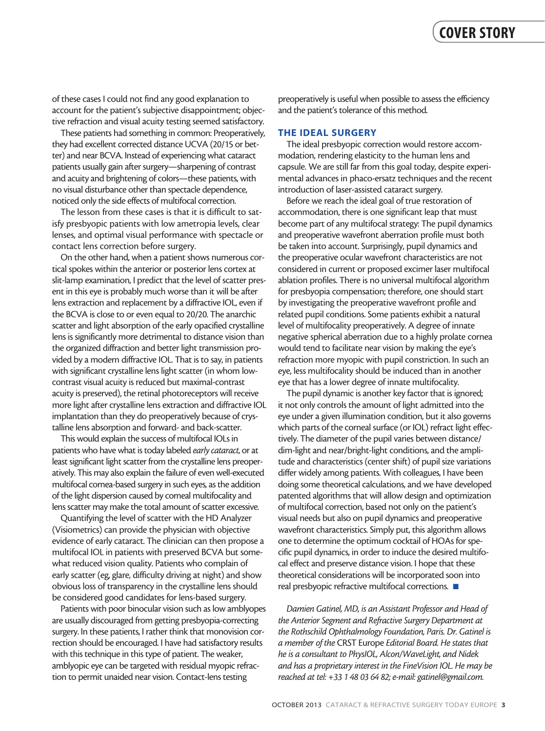of these cases I could not find any good explanation to account for the patient's subjective disappointment; objective refraction and visual acuity testing seemed satisfactory.

These patients had something in common: Preoperatively, they had excellent corrected distance UCVA (20/15 or better) and near BCVA. Instead of experiencing what cataract patients usually gain after surgery—sharpening of contrast and acuity and brightening of colors—these patients, with no visual disturbance other than spectacle dependence, noticed only the side effects of multifocal correction.

The lesson from these cases is that it is difficult to satisfy presbyopic patients with low ametropia levels, clear lenses, and optimal visual performance with spectacle or contact lens correction before surgery.

On the other hand, when a patient shows numerous cortical spokes within the anterior or posterior lens cortex at slit-lamp examination, I predict that the level of scatter present in this eye is probably much worse than it will be after lens extraction and replacement by a diffractive IOL, even if the BCVA is close to or even equal to 20/20. The anarchic scatter and light absorption of the early opacified crystalline lens is significantly more detrimental to distance vision than the organized diffraction and better light transmission provided by a modern diffractive IOL. That is to say, in patients with significant crystalline lens light scatter (in whom lowcontrast visual acuity is reduced but maximal-contrast acuity is preserved), the retinal photoreceptors will receive more light after crystalline lens extraction and diffractive IOL implantation than they do preoperatively because of crystalline lens absorption and forward- and back-scatter.

This would explain the success of multifocal IOLs in patients who have what is today labeled *early cataract*, or at least significant light scatter from the crystalline lens preoperatively. This may also explain the failure of even well-executed multifocal cornea-based surgery in such eyes, as the addition of the light dispersion caused by corneal multifocality and lens scatter may make the total amount of scatter excessive.

Quantifying the level of scatter with the HD Analyzer (Visiometrics) can provide the physician with objective evidence of early cataract. The clinician can then propose a multifocal IOL in patients with preserved BCVA but somewhat reduced vision quality. Patients who complain of early scatter (eg, glare, difficulty driving at night) and show obvious loss of transparency in the crystalline lens should be considered good candidates for lens-based surgery.

Patients with poor binocular vision such as low amblyopes are usually discouraged from getting presbyopia-correcting surgery. In these patients, I rather think that monovision correction should be encouraged. I have had satisfactory results with this technique in this type of patient. The weaker, amblyopic eye can be targeted with residual myopic refraction to permit unaided near vision. Contact-lens testing

preoperatively is useful when possible to assess the efficiency and the patient's tolerance of this method.

### THE IDEAL SURGERY

The ideal presbyopic correction would restore accommodation, rendering elasticity to the human lens and capsule. We are still far from this goal today, despite experimental advances in phaco-ersatz techniques and the recent introduction of laser-assisted cataract surgery.

Before we reach the ideal goal of true restoration of accommodation, there is one significant leap that must become part of any multifocal strategy: The pupil dynamics and preoperative wavefront aberration profile must both be taken into account. Surprisingly, pupil dynamics and the preoperative ocular wavefront characteristics are not considered in current or proposed excimer laser multifocal ablation profiles. There is no universal multifocal algorithm for presbyopia compensation; therefore, one should start by investigating the preoperative wavefront profile and related pupil conditions. Some patients exhibit a natural level of multifocality preoperatively. A degree of innate negative spherical aberration due to a highly prolate cornea would tend to facilitate near vision by making the eye's refraction more myopic with pupil constriction. In such an eye, less multifocality should be induced than in another eye that has a lower degree of innate multifocality.

The pupil dynamic is another key factor that is ignored; it not only controls the amount of light admitted into the eye under a given illumination condition, but it also governs which parts of the corneal surface (or IOL) refract light effectively. The diameter of the pupil varies between distance/ dim-light and near/bright-light conditions, and the amplitude and characteristics (center shift) of pupil size variations differ widely among patients. With colleagues, I have been doing some theoretical calculations, and we have developed patented algorithms that will allow design and optimization of multifocal correction, based not only on the patient's visual needs but also on pupil dynamics and preoperative wavefront characteristics. Simply put, this algorithm allows one to determine the optimum cocktail of HOAs for specific pupil dynamics, in order to induce the desired multifocal effect and preserve distance vision. I hope that these theoretical considerations will be incorporated soon into real presbyopic refractive multifocal corrections.  $\blacksquare$ 

*Damien Gatinel, MD, is an Assistant Professor and Head of the Anterior Segment and Refractive Surgery Department at the Rothschild Ophthalmology Foundation, Paris. Dr. Gatinel is a member of the* CRST Europe *Editorial Board. He states that he is a consultant to PhysIOL, Alcon/WaveLight, and Nidek and has a proprietary interest in the FineVision IOL. He may be reached at tel: +33 1 48 03 64 82; e-mail: gatinel@gmail.com.*